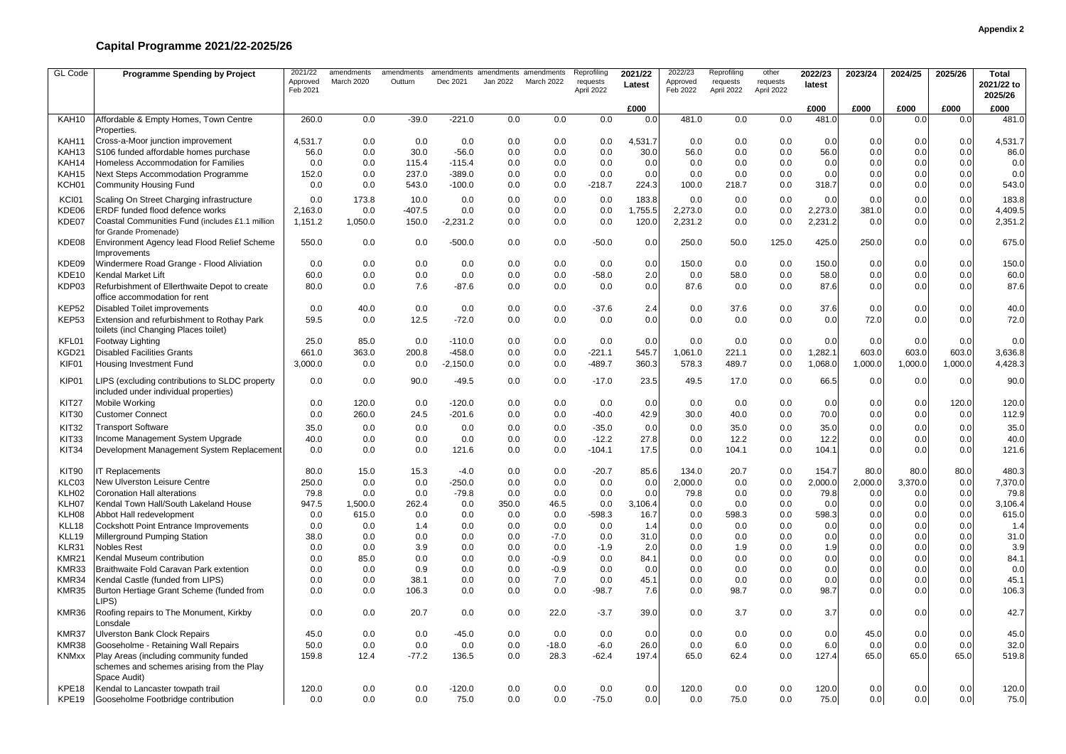| GL Code           | <b>Programme Spending by Project</b>                                                                | 2021/22<br>Approved<br>Feb 2021 | amendments<br>March 2020 | amendments<br>Outturn | amendments amendments amendments<br>Dec 2021 | Jan 2022   | March 2022    | Reprofiling<br>requests<br>April 2022 | 2021/22<br>Latest | 2022/23<br>Approved<br>Feb 2022 | Reprofiling<br>requests<br>April 2022 | other<br>requests<br>April 2022 | 2022/23<br>latest | 2023/24    | 2024/25    | 2025/26    | <b>Total</b><br>2021/22 to<br>2025/26 |
|-------------------|-----------------------------------------------------------------------------------------------------|---------------------------------|--------------------------|-----------------------|----------------------------------------------|------------|---------------|---------------------------------------|-------------------|---------------------------------|---------------------------------------|---------------------------------|-------------------|------------|------------|------------|---------------------------------------|
|                   |                                                                                                     |                                 |                          |                       |                                              |            |               |                                       | £000              |                                 |                                       |                                 | £000              | £000       | £000       | £000       | £000                                  |
| KAH10             | Affordable & Empty Homes, Town Centre<br>Properties.                                                | 260.0                           | 0.0                      | $-39.0$               | $-221.0$                                     | 0.0        | 0.0           | 0.0                                   | 0.0               | 481.0                           | 0.0                                   | 0.0                             | 481.0             | 0.0        | 0.0        | 0.0        | 481.0                                 |
| KAH11             | Cross-a-Moor junction improvement                                                                   | 4,531.7                         | 0.0                      | 0.0                   | 0.0                                          | 0.0        | 0.0           | 0.0                                   | 4,531.7           | 0.0                             | 0.0                                   | 0.0                             | 0.0               | 0.0        | 0.0        | 0.0        | 4,531.7                               |
| KAH13             | S106 funded affordable homes purchase                                                               | 56.0                            | 0.0                      | 30.0                  | $-56.0$                                      | 0.0        | 0.0           | 0.0                                   | 30.0              | 56.0                            | 0.0                                   | 0.0                             | 56.0              | 0.0        | 0.0        | 0.0        | 86.0                                  |
| KAH14             | Homeless Accommodation for Families                                                                 | 0.0                             | 0.0                      | 115.4                 | $-115.4$                                     | 0.0        | 0.0           | 0.0                                   | 0.0               | 0.0                             | 0.0                                   | 0.0                             | 0.0               | 0.0        | 0.0        | 0.0        | 0.0                                   |
| KAH15             | <b>Next Steps Accommodation Programme</b>                                                           | 152.0                           | 0.0                      | 237.0                 | $-389.0$                                     | 0.0        | 0.0           | 0.0                                   | 0.0               | 0.0                             | 0.0                                   | 0.0                             | 0.0               | 0.0        | 0.0        | 0.0        | 0.0                                   |
| KCH01             | <b>Community Housing Fund</b>                                                                       | 0.0                             | 0.0                      | 543.0                 | $-100.0$                                     | 0.0        | 0.0           | $-218.7$                              | 224.3             | 100.0                           | 218.7                                 | 0.0                             | 318.7             | 0.0        | 0.0        | 0.0        | 543.0                                 |
| KCI01             | Scaling On Street Charging infrastructure                                                           | 0.0                             | 173.8                    | 10.0                  | 0.0                                          | 0.0        | 0.0           | 0.0                                   | 183.8             | 0.0                             | 0.0                                   | 0.0                             | 0.0               | 0.0        | 0.0        | 0.0        | 183.8                                 |
| KDE06             | ERDF funded flood defence works                                                                     | 2,163.0                         | 0.0                      | $-407.5$              | 0.0                                          | 0.0        | 0.0           | 0.0                                   | 1,755.5           | 2,273.0                         | 0.0                                   | 0.0                             | 2,273.0           | 381.0      | 0.0        | 0.0        | 4,409.5                               |
| KDE07             | Coastal Communities Fund (includes £1.1 million<br>for Grande Promenade)                            | 1,151.2                         | 1,050.0                  | 150.0                 | $-2,231.2$                                   | 0.0        | 0.0           | 0.0                                   | 120.0             | 2,231.2                         | 0.0                                   | 0.0                             | 2,231.2           | 0.0        | 0.0        | 0.0        | 2,351.2                               |
| KDE08             | Environment Agency lead Flood Relief Scheme<br>Improvements                                         | 550.0                           | 0.0                      | 0.0                   | $-500.0$                                     | 0.0        | 0.0           | $-50.0$                               | 0.0               | 250.0                           | 50.0                                  | 125.0                           | 425.0             | 250.0      | 0.0        | 0.0        | 675.0                                 |
| KDE09             | Windermere Road Grange - Flood Aliviation                                                           | 0.0                             | 0.0                      | 0.0                   | 0.0                                          | 0.0        | 0.0           | 0.0                                   | 0.0               | 150.0                           | 0.0                                   | 0.0                             | 150.0             | 0.0        | 0.0        | 0.0        | 150.0                                 |
| KDE10             | Kendal Market Lift                                                                                  | 60.0                            | 0.0                      | 0.0                   | 0.0                                          | 0.0        | 0.0           | $-58.0$                               | 2.0               | 0.0                             | 58.0                                  | 0.0                             | 58.0              | 0.0        | 0.0        | 0.0        | 60.0                                  |
| KDP03             | Refurbishment of Ellerthwaite Depot to create<br>office accommodation for rent                      | 80.0                            | 0.0                      | 7.6                   | $-87.6$                                      | 0.0        | 0.0           | 0.0                                   | 0.0               | 87.6                            | 0.0                                   | 0.0                             | 87.6              | 0.0        | 0.0        | 0.0        | 87.6                                  |
| KEP52             | <b>Disabled Toilet improvements</b>                                                                 | 0.0                             | 40.0                     | 0.0                   | 0.0                                          | 0.0        | 0.0           | $-37.6$                               | 2.4               | 0.0                             | 37.6                                  | 0.0                             | 37.6              | 0.0        | 0.0        | 0.0        | 40.0                                  |
| KEP <sub>53</sub> | Extension and refurbishment to Rothay Park<br>toilets (incl Changing Places toilet)                 | 59.5                            | 0.0                      | 12.5                  | $-72.0$                                      | 0.0        | 0.0           | 0.0                                   | 0.0               | 0.0                             | 0.0                                   | 0.0                             | 0.0               | 72.0       | 0.0        | 0.0        | 72.0                                  |
| KFL01             | Footway Lighting                                                                                    | 25.0                            | 85.0                     | 0.0                   | $-110.0$                                     | 0.0        | 0.0           | 0.0                                   | 0.0               | 0.0                             | 0.0                                   | 0.0                             | 0.0               | 0.0        | 0.0        | 0.0        | 0.0                                   |
| KGD21             | <b>Disabled Facilities Grants</b>                                                                   | 661.0                           | 363.0                    | 200.8                 | $-458.0$                                     | 0.0        | 0.0           | $-221.1$                              | 545.7             | 1,061.0                         | 221.1                                 | 0.0                             | 1,282.1           | 603.0      | 603.0      | 603.0      | 3,636.8                               |
| KIF01             | Housing Investment Fund                                                                             | 3,000.0                         | 0.0                      | 0.0                   | $-2,150.0$                                   | 0.0        | 0.0           | $-489.7$                              | 360.3             | 578.3                           | 489.7                                 | 0.0                             | 1,068.0           | 1,000.0    | 1,000.0    | 1,000.0    | 4,428.3                               |
| KIP01             | LIPS (excluding contributions to SLDC property<br>included under individual properties)             | 0.0                             | 0.0                      | 90.0                  | $-49.5$                                      | 0.0        | 0.0           | $-17.0$                               | 23.5              | 49.5                            | 17.0                                  | 0.0                             | 66.5              | 0.0        | 0.0        | 0.0        | 90.0                                  |
| KIT27             | Mobile Working                                                                                      | 0.0                             | 120.0                    | 0.0                   | $-120.0$                                     | 0.0        | 0.0           | 0.0                                   | 0.0               | 0.0                             | 0.0                                   | 0.0                             | 0.0               | 0.0        | 0.0        | 120.0      | 120.0                                 |
| <b>KIT30</b>      | <b>Customer Connect</b>                                                                             | 0.0                             | 260.0                    | 24.5                  | $-201.6$                                     | 0.0        | 0.0           | $-40.0$                               | 42.9              | 30.0                            | 40.0                                  | 0.0                             | 70.0              | 0.0        | 0.0        | 0.0        | 112.9                                 |
| <b>KIT32</b>      | <b>Transport Software</b>                                                                           | 35.0                            | 0.0                      | 0.0                   | 0.0                                          | 0.0        | 0.0           | $-35.0$                               | 0.0               | 0.0                             | 35.0                                  | 0.0                             | 35.0              | 0.0        | 0.0        | 0.0        | 35.0                                  |
| KIT33             | Income Management System Upgrade                                                                    | 40.0                            | 0.0                      | 0.0                   | 0.0                                          | 0.0        | 0.0           | $-12.2$                               | 27.8              | 0.0                             | 12.2                                  | 0.0                             | 12.2              | 0.0        | 0.0        | 0.0        | 40.0                                  |
| KIT34             | Development Management System Replacement                                                           | 0.0                             | 0.0                      | 0.0                   | 121.6                                        | 0.0        | 0.0           | $-104.1$                              | 17.5              | 0.0                             | 104.1                                 | 0.0                             | 104.1             | 0.0        | 0.0        | 0.0        | 121.6                                 |
| KIT90             | T Replacements                                                                                      | 80.0                            | 15.0                     | 15.3                  | $-4.0$                                       | 0.0        | 0.0           | $-20.7$                               | 85.6              | 134.0                           | 20.7                                  | 0.0                             | 154.7             | 80.0       | 80.0       | 80.0       | 480.3                                 |
| KLC03             | New Ulverston Leisure Centre                                                                        | 250.0                           | 0.0                      | 0.0                   | $-250.0$                                     | 0.0        | 0.0           | 0.0                                   | 0.0               | 2,000.0                         | 0.0                                   | 0.0                             | 2,000.0           | 2,000.0    | 3,370.0    | 0.0        | 7,370.0                               |
| KLH02             | <b>Coronation Hall alterations</b>                                                                  | 79.8                            | 0.0                      | 0.0                   | $-79.8$                                      | 0.0        | 0.0           | 0.0                                   | 0.0               | 79.8                            | 0.0                                   | 0.0                             | 79.8              | 0.0        | 0.0        | 0.0        | 79.8                                  |
| KLH07             | Kendal Town Hall/South Lakeland House                                                               | 947.5                           | 1,500.0                  | 262.4                 | 0.0                                          | 350.0      | 46.5          | 0.0                                   | 3,106.4           | 0.0                             | 0.0                                   | 0.0                             | 0.0               | 0.0        | 0.0        | 0.0        | 3,106.4                               |
| KLH08             | Abbot Hall redevelopment                                                                            | 0.0                             | 615.0                    | 0.0                   | 0.0                                          | 0.0        | 0.0           | $-598.3$                              | 16.7              | 0.0                             | 598.3                                 | 0.0                             | 598.3             | 0.0        | 0.0        | 0.0        | 615.0                                 |
| KLL18<br>KLL19    | <b>Cockshott Point Entrance Improvements</b><br>Millerground Pumping Station                        | 0.0<br>38.0                     | 0.0<br>0.0               | 1.4<br>0.0            | 0.0<br>0.0                                   | 0.0<br>0.0 | 0.0<br>$-7.0$ | 0.0<br>0.0                            | 1.4<br>31.0       | 0.0<br>0.0                      | 0.0                                   | 0.0<br>0.0                      | 0.0               | 0.0<br>0.0 | 0.0        | 0.0<br>0.0 | 1.4<br>31.0                           |
| KLR31             | <b>Nobles Rest</b>                                                                                  | 0.0                             | 0.0                      | 3.9                   | 0.0                                          | 0.0        | 0.0           | $-1.9$                                | 2.0               | 0.0                             | 0.0<br>1.9                            | 0.0                             | 0.0<br>1.9        | 0.0        | 0.0<br>0.0 | 0.0        | 3.9                                   |
| KMR21             | Kendal Museum contribution                                                                          | 0.0                             | 85.0                     | 0.0                   | 0.0                                          | 0.0        | $-0.9$        | 0.0                                   | 84.1              | 0.0                             | 0.0                                   | 0.0                             | 0.0               | 0.0        | 0.0        | 0.0        | 84.1                                  |
| KMR33             | Braithwaite Fold Caravan Park extention                                                             | 0.0                             | 0.0                      | 0.9                   | 0.0                                          | 0.0        | $-0.9$        | 0.0                                   | 0.0               | 0.0                             | 0.0                                   | 0.0                             | 0.0               | 0.0        | 0.0        | 0.0        | 0.0                                   |
| KMR34             | Kendal Castle (funded from LIPS)                                                                    | 0.0                             | 0.0                      | 38.1                  | 0.0                                          | 0.0        | 7.0           | 0.0                                   | 45.1              | 0.0                             | 0.0                                   | 0.0                             | 0.0               | 0.0        | 0.0        | 0.0        | 45.1                                  |
| KMR35             | Burton Hertiage Grant Scheme (funded from<br>LIPS)                                                  | 0.0                             | 0.0                      | 106.3                 | 0.0                                          | 0.0        | 0.0           | $-98.7$                               | 7.6               | 0.0                             | 98.7                                  | 0.0                             | 98.7              | 0.0        | 0.0        | 0.0        | 106.3                                 |
| KMR36             | Roofing repairs to The Monument, Kirkby<br>Lonsdale                                                 | 0.0                             | 0.0                      | 20.7                  | 0.0                                          | 0.0        | 22.0          | $-3.7$                                | 39.0              | 0.0                             | 3.7                                   | 0.0                             | 3.7               | 0.0        | 0.0        | 0.0        | 42.7                                  |
| KMR37             | <b>Ulverston Bank Clock Repairs</b>                                                                 | 45.0                            | 0.0                      | 0.0                   | $-45.0$                                      | 0.0        | 0.0           | 0.0                                   | 0.0               | 0.0                             | 0.0                                   | 0.0                             | 0.0               | 45.0       | 0.0        | 0.0        | 45.0                                  |
| KMR38             | Gooseholme - Retaining Wall Repairs                                                                 | 50.0                            | 0.0                      | 0.0                   | 0.0                                          | 0.0        | $-18.0$       | $-6.0$                                | 26.0              | 0.0                             | 6.0                                   | 0.0                             | 6.0               | 0.0        | 0.0        | 0.0        | 32.0                                  |
| <b>KNMxx</b>      | Play Areas (including community funded<br>schemes and schemes arising from the Play<br>Space Audit) | 159.8                           | 12.4                     | $-77.2$               | 136.5                                        | 0.0        | 28.3          | $-62.4$                               | 197.4             | 65.0                            | 62.4                                  | 0.0                             | 127.4             | 65.0       | 65.0       | 65.0       | 519.8                                 |
| KPE18             | Kendal to Lancaster towpath trail                                                                   | 120.0                           | 0.0                      | 0.0                   | $-120.0$                                     | 0.0        | 0.0           | 0.0                                   | 0.0               | 120.0                           | 0.0                                   | 0.0                             | 120.0             | 0.0        | 0.0        | 0.0        | 120.0                                 |
| KPE19             | Gooseholme Footbridge contribution                                                                  | 0.0                             | 0.0                      | 0.0                   | 75.0                                         | 0.0        | 0.0           | $-75.0$                               | 0.0               | 0.0                             | 75.0                                  | 0.0                             | 75.0              | 0.0        | 0.0        | 0.0        | 75.0                                  |

## **Capital Programme 2021/22-2025/26**